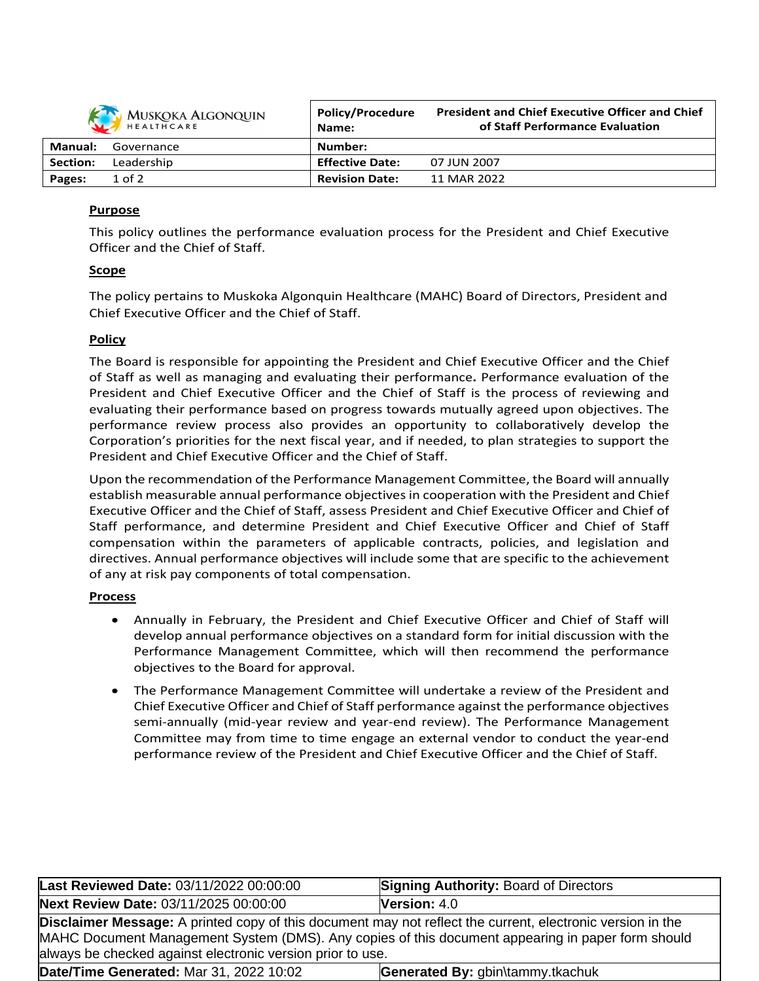| <b>KAN</b> MUSKOKA ALGONQUIN | Policy/Procedure |
|------------------------------|------------------|
| HEALTHCARE                   | Name:            |
| ۱nual<br>Governance          | Numbor:          |

|                 | HEALTHCARE | Name:                  | of Staff Performance Evaluation |
|-----------------|------------|------------------------|---------------------------------|
| Manual:         | Governance | Number:                |                                 |
| <b>Section:</b> | Leadership | <b>Effective Date:</b> | 07 JUN 2007                     |
| Pages:          | $1$ of $2$ | <b>Revision Date:</b>  | 11 MAR 2022                     |

**President and Chief Executive Officer and Chief**

# **Purpose**

This policy outlines the performance evaluation process for the President and Chief Executive Officer and the Chief of Staff.

# **Scope**

The policy pertains to Muskoka Algonquin Healthcare (MAHC) Board of Directors, President and Chief Executive Officer and the Chief of Staff.

# **Policy**

The Board is responsible for appointing the President and Chief Executive Officer and the Chief of Staff as well as managing and evaluating their performance**.** Performance evaluation of the President and Chief Executive Officer and the Chief of Staff is the process of reviewing and evaluating their performance based on progress towards mutually agreed upon objectives. The performance review process also provides an opportunity to collaboratively develop the Corporation's priorities for the next fiscal year, and if needed, to plan strategies to support the President and Chief Executive Officer and the Chief of Staff.

Upon the recommendation of the Performance Management Committee, the Board will annually establish measurable annual performance objectives in cooperation with the President and Chief Executive Officer and the Chief of Staff, assess President and Chief Executive Officer and Chief of Staff performance, and determine President and Chief Executive Officer and Chief of Staff compensation within the parameters of applicable contracts, policies, and legislation and directives. Annual performance objectives will include some that are specific to the achievement of any at risk pay components of total compensation.

# **Process**

- Annually in February, the President and Chief Executive Officer and Chief of Staff will develop annual performance objectives on a standard form for initial discussion with the Performance Management Committee, which will then recommend the performance objectives to the Board for approval.
- The Performance Management Committee will undertake a review of the President and Chief Executive Officer and Chief of Staff performance against the performance objectives semi-annually (mid-year review and year-end review). The Performance Management Committee may from time to time engage an external vendor to conduct the year-end performance review of the President and Chief Executive Officer and the Chief of Staff.

| Last Reviewed Date: 03/11/2022 00:00:00                                                                                                                                                                                                                                       | <b>Signing Authority: Board of Directors</b> |  |
|-------------------------------------------------------------------------------------------------------------------------------------------------------------------------------------------------------------------------------------------------------------------------------|----------------------------------------------|--|
| Next Review Date: 03/11/2025 00:00:00                                                                                                                                                                                                                                         | <b>Version:</b> $4.0$                        |  |
| Disclaimer Message: A printed copy of this document may not reflect the current, electronic version in the<br>MAHC Document Management System (DMS). Any copies of this document appearing in paper form should<br>always be checked against electronic version prior to use. |                                              |  |
| Date/Time Generated: Mar 31, 2022 10:02                                                                                                                                                                                                                                       | Generated By: gbin\tammy.tkachuk             |  |